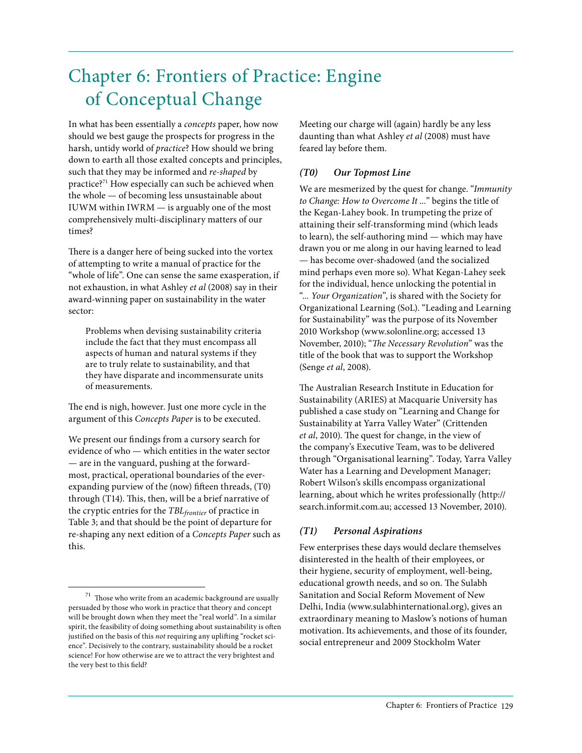# Chapter 6: Frontiers of Practice: Engine of Conceptual Change

In what has been essentially a *concepts* paper, how now should we best gauge the prospects for progress in the harsh, untidy world of *practice*? How should we bring down to earth all those exalted concepts and principles, such that they may be informed and *re-shaped* by practice?<sup>71</sup> How especially can such be achieved when the whole — of becoming less unsustainable about IUWM within IWRM — is arguably one of the most comprehensively multi-disciplinary matters of our times?

There is a danger here of being sucked into the vortex of attempting to write a manual of practice for the "whole of life". One can sense the same exasperation, if not exhaustion, in what Ashley *et al* (2008) say in their award-winning paper on sustainability in the water sector:

Problems when devising sustainability criteria include the fact that they must encompass all aspects of human and natural systems if they are to truly relate to sustainability, and that they have disparate and incommensurate units of measurements.

The end is nigh, however. Just one more cycle in the argument of this *Concepts Paper* is to be executed.

We present our findings from a cursory search for evidence of who — which entities in the water sector — are in the vanguard, pushing at the forwardmost, practical, operational boundaries of the everexpanding purview of the (now) fifteen threads, (T0) through (T14). This, then, will be a brief narrative of the cryptic entries for the *TBLfrontier* of practice in Table 3; and that should be the point of departure for re-shaping any next edition of a *Concepts Paper* such as this.

Meeting our charge will (again) hardly be any less daunting than what Ashley *et al* (2008) must have feared lay before them.

# *(T0) Our Topmost Line*

We are mesmerized by the quest for change. "*Immunity to Change: How to Overcome It ...*" begins the title of the Kegan-Lahey book. In trumpeting the prize of attaining their self-transforming mind (which leads to learn), the self-authoring mind — which may have drawn you or me along in our having learned to lead — has become over-shadowed (and the socialized mind perhaps even more so). What Kegan-Lahey seek for the individual, hence unlocking the potential in "*... Your Organization*", is shared with the Society for Organizational Learning (SoL). "Leading and Learning for Sustainability" was the purpose of its November 2010 Workshop (www.solonline.org; accessed 13 November, 2010); "*The Necessary Revolution*" was the title of the book that was to support the Workshop (Senge *et al*, 2008).

The Australian Research Institute in Education for Sustainability (ARIES) at Macquarie University has published a case study on "Learning and Change for Sustainability at Yarra Valley Water" (Crittenden *et al*, 2010). The quest for change, in the view of the company's Executive Team, was to be delivered through "Organisational learning". Today, Yarra Valley Water has a Learning and Development Manager; Robert Wilson's skills encompass organizational learning, about which he writes professionally (http:// search.informit.com.au; accessed 13 November, 2010).

# *(T1) Personal Aspirations*

Few enterprises these days would declare themselves disinterested in the health of their employees, or their hygiene, security of employment, well-being, educational growth needs, and so on. The Sulabh Sanitation and Social Reform Movement of New Delhi, India (www.sulabhinternational.org), gives an extraordinary meaning to Maslow's notions of human motivation. Its achievements, and those of its founder, social entrepreneur and 2009 Stockholm Water

 $^{\mathrm{71}}$  Those who write from an academic background are usually persuaded by those who work in practice that theory and concept will be brought down when they meet the "real world". In a similar spirit, the feasibility of doing something about sustainability is often justified on the basis of this *not* requiring any uplifting "rocket science". Decisively to the contrary, sustainability should be a rocket science! For how otherwise are we to attract the very brightest and the very best to this field?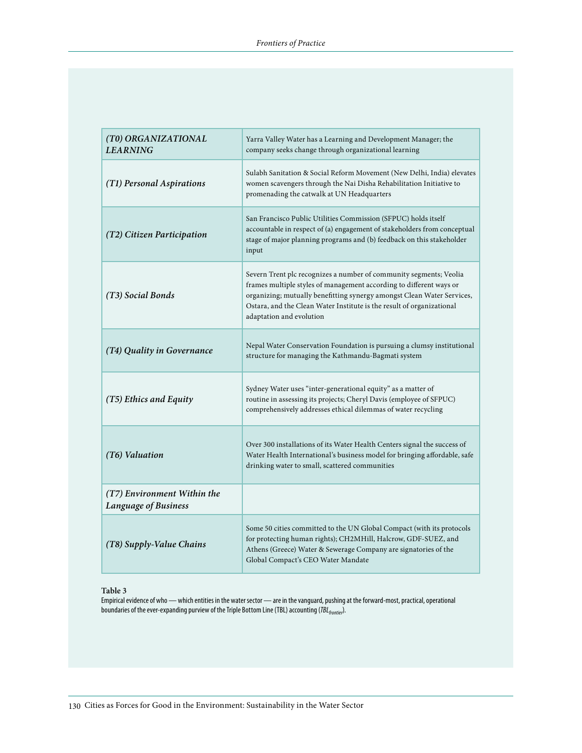| (T0) ORGANIZATIONAL<br><b>LEARNING</b>                     | Yarra Valley Water has a Learning and Development Manager; the<br>company seeks change through organizational learning                                                                                                                                                                                                   |
|------------------------------------------------------------|--------------------------------------------------------------------------------------------------------------------------------------------------------------------------------------------------------------------------------------------------------------------------------------------------------------------------|
| (T1) Personal Aspirations                                  | Sulabh Sanitation & Social Reform Movement (New Delhi, India) elevates<br>women scavengers through the Nai Disha Rehabilitation Initiative to<br>promenading the catwalk at UN Headquarters                                                                                                                              |
| (T2) Citizen Participation                                 | San Francisco Public Utilities Commission (SFPUC) holds itself<br>accountable in respect of (a) engagement of stakeholders from conceptual<br>stage of major planning programs and (b) feedback on this stakeholder<br>input                                                                                             |
| (T3) Social Bonds                                          | Severn Trent plc recognizes a number of community segments; Veolia<br>frames multiple styles of management according to different ways or<br>organizing; mutually benefitting synergy amongst Clean Water Services,<br>Ostara, and the Clean Water Institute is the result of organizational<br>adaptation and evolution |
| (T4) Quality in Governance                                 | Nepal Water Conservation Foundation is pursuing a clumsy institutional<br>structure for managing the Kathmandu-Bagmati system                                                                                                                                                                                            |
| (T5) Ethics and Equity                                     | Sydney Water uses "inter-generational equity" as a matter of<br>routine in assessing its projects; Cheryl Davis (employee of SFPUC)<br>comprehensively addresses ethical dilemmas of water recycling                                                                                                                     |
| (T6) Valuation                                             | Over 300 installations of its Water Health Centers signal the success of<br>Water Health International's business model for bringing affordable, safe<br>drinking water to small, scattered communities                                                                                                                  |
| (T7) Environment Within the<br><b>Language of Business</b> |                                                                                                                                                                                                                                                                                                                          |
| (T8) Supply-Value Chains                                   | Some 50 cities committed to the UN Global Compact (with its protocols<br>for protecting human rights); CH2MHill, Halcrow, GDF-SUEZ, and<br>Athens (Greece) Water & Sewerage Company are signatories of the<br>Global Compact's CEO Water Mandate                                                                         |

#### **Table 3**

Empirical evidence of who — which entities in the water sector — are in the vanguard, pushing at the forward-most, practical, operational boundaries of the ever-expanding purview of the Triple Bottom Line (TBL) accounting (TBL<sub>frontier</sub>).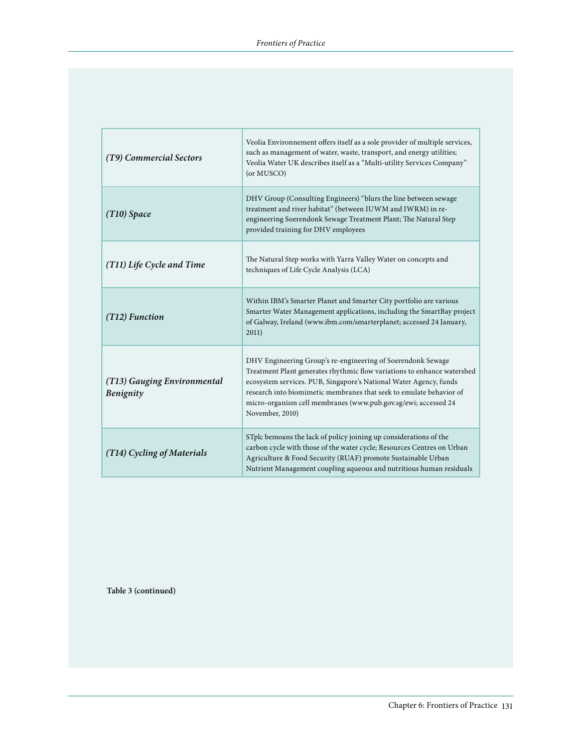| (T9) Commercial Sectors                  | Veolia Environnement offers itself as a sole provider of multiple services,<br>such as management of water, waste, transport, and energy utilities;<br>Veolia Water UK describes itself as a "Multi-utility Services Company"<br>(or MUSCO)                                                                                                                             |
|------------------------------------------|-------------------------------------------------------------------------------------------------------------------------------------------------------------------------------------------------------------------------------------------------------------------------------------------------------------------------------------------------------------------------|
| $(T10)$ Space                            | DHV Group (Consulting Engineers) "blurs the line between sewage<br>treatment and river habitat" (between IUWM and IWRM) in re-<br>engineering Soerendonk Sewage Treatment Plant; The Natural Step<br>provided training for DHV employees                                                                                                                                |
| (T11) Life Cycle and Time                | The Natural Step works with Yarra Valley Water on concepts and<br>techniques of Life Cycle Analysis (LCA)                                                                                                                                                                                                                                                               |
| (T12) Function                           | Within IBM's Smarter Planet and Smarter City portfolio are various<br>Smarter Water Management applications, including the SmartBay project<br>of Galway, Ireland (www.ibm.com/smarterplanet; accessed 24 January,<br>2011)                                                                                                                                             |
| (T13) Gauging Environmental<br>Benignity | DHV Engineering Group's re-engineering of Soerendonk Sewage<br>Treatment Plant generates rhythmic flow variations to enhance watershed<br>ecosystem services. PUB, Singapore's National Water Agency, funds<br>research into biomimetic membranes that seek to emulate behavior of<br>micro-organism cell membranes (www.pub.gov.sg/ewi; accessed 24<br>November, 2010) |
| (T14) Cycling of Materials               | STplc bemoans the lack of policy joining up considerations of the<br>carbon cycle with those of the water cycle; Resources Centres on Urban<br>Agriculture & Food Security (RUAF) promote Sustainable Urban<br>Nutrient Management coupling aqueous and nutritious human residuals                                                                                      |

**Table 3 (continued)**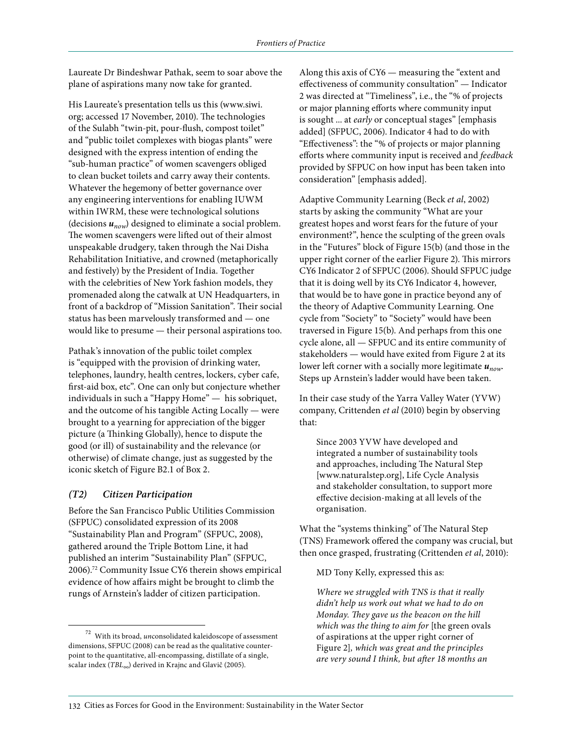Laureate Dr Bindeshwar Pathak, seem to soar above the plane of aspirations many now take for granted.

His Laureate's presentation tells us this (www.siwi. org; accessed 17 November, 2010). The technologies of the Sulabh "twin-pit, pour-flush, compost toilet" and "public toilet complexes with biogas plants" were designed with the express intention of ending the "sub-human practice" of women scavengers obliged to clean bucket toilets and carry away their contents. Whatever the hegemony of better governance over any engineering interventions for enabling IUWM within IWRM, these were technological solutions (decisions *unow*) designed to eliminate a social problem. The women scavengers were lifted out of their almost unspeakable drudgery, taken through the Nai Disha Rehabilitation Initiative, and crowned (metaphorically and festively) by the President of India. Together with the celebrities of New York fashion models, they promenaded along the catwalk at UN Headquarters, in front of a backdrop of "Mission Sanitation". Their social status has been marvelously transformed and — one would like to presume — their personal aspirations too.

Pathak's innovation of the public toilet complex is "equipped with the provision of drinking water, telephones, laundry, health centres, lockers, cyber cafe, first-aid box, etc". One can only but conjecture whether individuals in such a "Happy Home" — his sobriquet, and the outcome of his tangible Acting Locally — were brought to a yearning for appreciation of the bigger picture (a Thinking Globally), hence to dispute the good (or ill) of sustainability and the relevance (or otherwise) of climate change, just as suggested by the iconic sketch of Figure B2.1 of Box 2.

#### *(T2) Citizen Participation*

Before the San Francisco Public Utilities Commission (SFPUC) consolidated expression of its 2008 "Sustainability Plan and Program" (SFPUC, 2008), gathered around the Triple Bottom Line, it had published an interim "Sustainability Plan" (SFPUC, 2006).72 Community Issue CY6 therein shows empirical evidence of how affairs might be brought to climb the rungs of Arnstein's ladder of citizen participation.

Along this axis of CY6 — measuring the "extent and effectiveness of community consultation" — Indicator 2 was directed at "Timeliness", i.e., the "% of projects or major planning efforts where community input is sought ... at *early* or conceptual stages" [emphasis added] (SFPUC, 2006). Indicator 4 had to do with "Effectiveness": the "% of projects or major planning efforts where community input is received and *feedback* provided by SFPUC on how input has been taken into consideration" [emphasis added].

Adaptive Community Learning (Beck *et al*, 2002) starts by asking the community "What are your greatest hopes and worst fears for the future of your environment?", hence the sculpting of the green ovals in the "Futures" block of Figure 15(b) (and those in the upper right corner of the earlier Figure 2). This mirrors CY6 Indicator 2 of SFPUC (2006). Should SFPUC judge that it is doing well by its CY6 Indicator 4, however, that would be to have gone in practice beyond any of the theory of Adaptive Community Learning. One cycle from "Society" to "Society" would have been traversed in Figure 15(b). And perhaps from this one cycle alone, all — SFPUC and its entire community of stakeholders — would have exited from Figure 2 at its lower left corner with a socially more legitimate *unow*. Steps up Arnstein's ladder would have been taken.

In their case study of the Yarra Valley Water (YVW) company, Crittenden *et al* (2010) begin by observing that:

Since 2003 YVW have developed and integrated a number of sustainability tools and approaches, including The Natural Step [www.naturalstep.org], Life Cycle Analysis and stakeholder consultation, to support more effective decision-making at all levels of the organisation.

What the "systems thinking" of The Natural Step (TNS) Framework offered the company was crucial, but then once grasped, frustrating (Crittenden *et al*, 2010):

MD Tony Kelly, expressed this as:

*Where we struggled with TNS is that it really didn't help us work out what we had to do on Monday. They gave us the beacon on the hill which was the thing to aim for* [the green ovals of aspirations at the upper right corner of Figure 2]*, which was great and the principles are very sound I think, but after 18 months an* 

<sup>72</sup> With its broad, *un*consolidated kaleidoscope of assessment dimensions, SFPUC (2008) can be read as the qualitative counterpoint to the quantitative, all-encompassing, distillate of a single, scalar index (*TBL∞*) derived in Krajnc and Glavič (2005).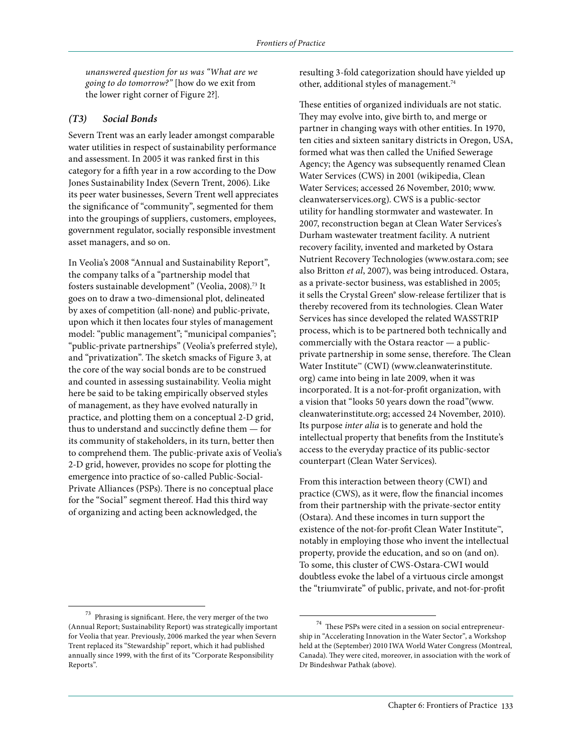*unanswered question for us was "What are we going to do tomorrow?"* [how do we exit from the lower right corner of Figure 2?]*.*

#### *(T3) Social Bonds*

Severn Trent was an early leader amongst comparable water utilities in respect of sustainability performance and assessment. In 2005 it was ranked first in this category for a fifth year in a row according to the Dow Jones Sustainability Index (Severn Trent, 2006). Like its peer water businesses, Severn Trent well appreciates the significance of "community", segmented for them into the groupings of suppliers, customers, employees, government regulator, socially responsible investment asset managers, and so on.

In Veolia's 2008 "Annual and Sustainability Report", the company talks of a "partnership model that fosters sustainable development" (Veolia, 2008).73 It goes on to draw a two-dimensional plot, delineated by axes of competition (all-none) and public-private, upon which it then locates four styles of management model: "public management"; "municipal companies"; "public-private partnerships" (Veolia's preferred style), and "privatization". The sketch smacks of Figure 3, at the core of the way social bonds are to be construed and counted in assessing sustainability. Veolia might here be said to be taking empirically observed styles of management, as they have evolved naturally in practice, and plotting them on a conceptual 2-D grid, thus to understand and succinctly define them — for its community of stakeholders, in its turn, better then to comprehend them. The public-private axis of Veolia's 2-D grid, however, provides no scope for plotting the emergence into practice of so-called Public-Social-Private Alliances (PSPs). There is no conceptual place for the "Social" segment thereof. Had this third way of organizing and acting been acknowledged, the

resulting 3-fold categorization should have yielded up other, additional styles of management.74

These entities of organized individuals are not static. They may evolve into, give birth to, and merge or partner in changing ways with other entities. In 1970, ten cities and sixteen sanitary districts in Oregon, USA, formed what was then called the Unified Sewerage Agency; the Agency was subsequently renamed Clean Water Services (CWS) in 2001 (wikipedia, Clean Water Services; accessed 26 November, 2010; www. cleanwaterservices.org). CWS is a public-sector utility for handling stormwater and wastewater. In 2007, reconstruction began at Clean Water Services's Durham wastewater treatment facility. A nutrient recovery facility, invented and marketed by Ostara Nutrient Recovery Technologies (www.ostara.com; see also Britton *et al*, 2007), was being introduced. Ostara, as a private-sector business, was established in 2005; it sells the Crystal Green® slow-release fertilizer that is thereby recovered from its technologies. Clean Water Services has since developed the related WASSTRIP process, which is to be partnered both technically and commercially with the Ostara reactor — a publicprivate partnership in some sense, therefore. The Clean Water Institute™ (CWI) (www.cleanwaterinstitute. org) came into being in late 2009, when it was incorporated. It is a not-for-profit organization, with a vision that "looks 50 years down the road"(www. cleanwaterinstitute.org; accessed 24 November, 2010). Its purpose *inter alia* is to generate and hold the intellectual property that benefits from the Institute's access to the everyday practice of its public-sector counterpart (Clean Water Services).

From this interaction between theory (CWI) and practice (CWS), as it were, flow the financial incomes from their partnership with the private-sector entity (Ostara). And these incomes in turn support the existence of the not-for-profit Clean Water Institute™, notably in employing those who invent the intellectual property, provide the education, and so on (and on). To some, this cluster of CWS-Ostara-CWI would doubtless evoke the label of a virtuous circle amongst the "triumvirate" of public, private, and not-for-profit

 $^{\rm 73}$  Phrasing is significant. Here, the very merger of the two (Annual Report; Sustainability Report) was strategically important for Veolia that year. Previously, 2006 marked the year when Severn Trent replaced its "Stewardship" report, which it had published annually since 1999, with the first of its "Corporate Responsibility Reports".

 $^{74}\,$  These PSPs were cited in a session on social entrepreneurship in "Accelerating Innovation in the Water Sector", a Workshop held at the (September) 2010 IWA World Water Congress (Montreal, Canada). They were cited, moreover, in association with the work of Dr Bindeshwar Pathak (above).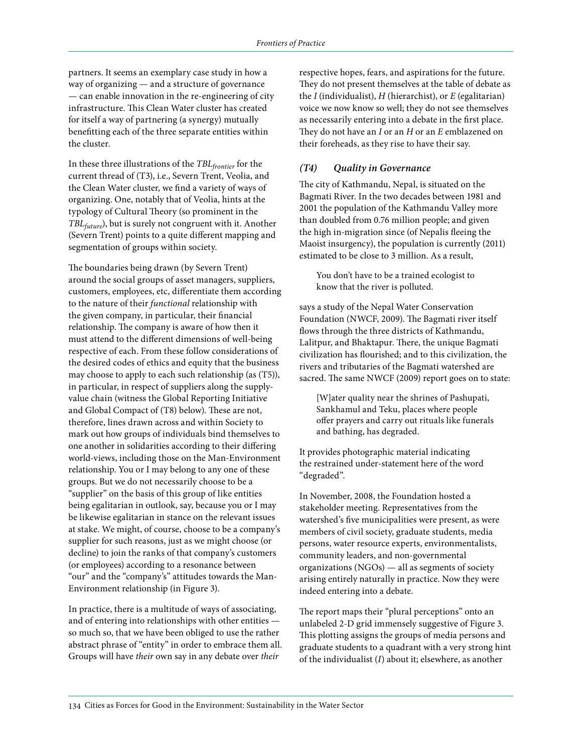partners. It seems an exemplary case study in how a way of organizing — and a structure of governance — can enable innovation in the re-engineering of city infrastructure. This Clean Water cluster has created for itself a way of partnering (a synergy) mutually benefitting each of the three separate entities within the cluster.

In these three illustrations of the *TBLfrontier* for the current thread of (T3), i.e., Severn Trent, Veolia, and the Clean Water cluster, we find a variety of ways of organizing. One, notably that of Veolia, hints at the typology of Cultural Theory (so prominent in the *TBLfuture*), but is surely not congruent with it. Another (Severn Trent) points to a quite different mapping and segmentation of groups within society.

The boundaries being drawn (by Severn Trent) around the social groups of asset managers, suppliers, customers, employees, etc, differentiate them according to the nature of their *functional* relationship with the given company, in particular, their financial relationship. The company is aware of how then it must attend to the different dimensions of well-being respective of each. From these follow considerations of the desired codes of ethics and equity that the business may choose to apply to each such relationship (as (T5)), in particular, in respect of suppliers along the supplyvalue chain (witness the Global Reporting Initiative and Global Compact of (T8) below). These are not, therefore, lines drawn across and within Society to mark out how groups of individuals bind themselves to one another in solidarities according to their differing world-views, including those on the Man-Environment relationship. You or I may belong to any one of these groups. But we do not necessarily choose to be a "supplier" on the basis of this group of like entities being egalitarian in outlook, say, because you or I may be likewise egalitarian in stance on the relevant issues at stake. We might, of course, choose to be a company's supplier for such reasons, just as we might choose (or decline) to join the ranks of that company's customers (or employees) according to a resonance between "our" and the "company's" attitudes towards the Man-Environment relationship (in Figure 3).

In practice, there is a multitude of ways of associating, and of entering into relationships with other entities so much so, that we have been obliged to use the rather abstract phrase of "entity" in order to embrace them all. Groups will have *their* own say in any debate over *their*

respective hopes, fears, and aspirations for the future. They do not present themselves at the table of debate as the *I* (individualist), *H* (hierarchist), or *E* (egalitarian) voice we now know so well; they do not see themselves as necessarily entering into a debate in the first place. They do not have an *I* or an *H* or an *E* emblazened on their foreheads, as they rise to have their say.

#### *(T4) Quality in Governance*

The city of Kathmandu, Nepal, is situated on the Bagmati River. In the two decades between 1981 and 2001 the population of the Kathmandu Valley more than doubled from 0.76 million people; and given the high in-migration since (of Nepalis fleeing the Maoist insurgency), the population is currently (2011) estimated to be close to 3 million. As a result,

You don't have to be a trained ecologist to know that the river is polluted.

says a study of the Nepal Water Conservation Foundation (NWCF, 2009). The Bagmati river itself flows through the three districts of Kathmandu, Lalitpur, and Bhaktapur. There, the unique Bagmati civilization has flourished; and to this civilization, the rivers and tributaries of the Bagmati watershed are sacred. The same NWCF (2009) report goes on to state:

[W]ater quality near the shrines of Pashupati, Sankhamul and Teku, places where people offer prayers and carry out rituals like funerals and bathing, has degraded.

It provides photographic material indicating the restrained under-statement here of the word "degraded".

In November, 2008, the Foundation hosted a stakeholder meeting. Representatives from the watershed's five municipalities were present, as were members of civil society, graduate students, media persons, water resource experts, environmentalists, community leaders, and non-governmental organizations  $(NGOs)$  — all as segments of society arising entirely naturally in practice. Now they were indeed entering into a debate.

The report maps their "plural perceptions" onto an unlabeled 2-D grid immensely suggestive of Figure 3. This plotting assigns the groups of media persons and graduate students to a quadrant with a very strong hint of the individualist (*I*) about it; elsewhere, as another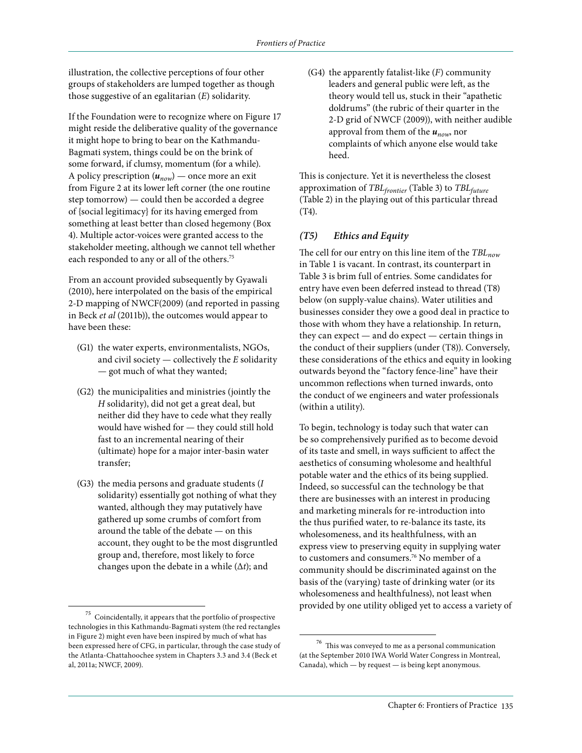illustration, the collective perceptions of four other groups of stakeholders are lumped together as though those suggestive of an egalitarian (*E*) solidarity.

If the Foundation were to recognize where on Figure 17 might reside the deliberative quality of the governance it might hope to bring to bear on the Kathmandu-Bagmati system, things could be on the brink of some forward, if clumsy, momentum (for a while). A policy prescription (*unow*) — once more an exit from Figure 2 at its lower left corner (the one routine step tomorrow) — could then be accorded a degree of {social legitimacy} for its having emerged from something at least better than closed hegemony (Box 4). Multiple actor-voices were granted access to the stakeholder meeting, although we cannot tell whether each responded to any or all of the others.<sup>75</sup>

From an account provided subsequently by Gyawali (2010), here interpolated on the basis of the empirical 2-D mapping of NWCF(2009) (and reported in passing in Beck *et al* (2011b)), the outcomes would appear to have been these:

- (G1) the water experts, environmentalists, NGOs, and civil society — collectively the *E* solidarity — got much of what they wanted;
- (G2) the municipalities and ministries (jointly the *H* solidarity), did not get a great deal, but neither did they have to cede what they really would have wished for — they could still hold fast to an incremental nearing of their (ultimate) hope for a major inter-basin water transfer;
- (G3) the media persons and graduate students (*I* solidarity) essentially got nothing of what they wanted, although they may putatively have gathered up some crumbs of comfort from around the table of the debate — on this account, they ought to be the most disgruntled group and, therefore, most likely to force changes upon the debate in a while (Δ*t*); and

(G4) the apparently fatalist-like (*F*) community leaders and general public were left, as the theory would tell us, stuck in their "apathetic doldrums" (the rubric of their quarter in the 2-D grid of NWCF (2009)), with neither audible approval from them of the *unow*, nor complaints of which anyone else would take heed.

This is conjecture. Yet it is nevertheless the closest approximation of *TBLfrontier* (Table 3) to *TBLfuture* (Table 2) in the playing out of this particular thread (T4).

#### *(T5) Ethics and Equity*

The cell for our entry on this line item of the *TBLnow* in Table 1 is vacant. In contrast, its counterpart in Table 3 is brim full of entries. Some candidates for entry have even been deferred instead to thread (T8) below (on supply-value chains). Water utilities and businesses consider they owe a good deal in practice to those with whom they have a relationship. In return, they can expect — and do expect — certain things in the conduct of their suppliers (under (T8)). Conversely, these considerations of the ethics and equity in looking outwards beyond the "factory fence-line" have their uncommon reflections when turned inwards, onto the conduct of we engineers and water professionals (within a utility).

To begin, technology is today such that water can be so comprehensively purified as to become devoid of its taste and smell, in ways sufficient to affect the aesthetics of consuming wholesome and healthful potable water and the ethics of its being supplied. Indeed, so successful can the technology be that there are businesses with an interest in producing and marketing minerals for re-introduction into the thus purified water, to re-balance its taste, its wholesomeness, and its healthfulness, with an express view to preserving equity in supplying water to customers and consumers.76 No member of a community should be discriminated against on the basis of the (varying) taste of drinking water (or its wholesomeness and healthfulness), not least when provided by one utility obliged yet to access a variety of

<sup>75</sup> Coincidentally, it appears that the portfolio of prospective technologies in this Kathmandu-Bagmati system (the red rectangles in Figure 2) might even have been inspired by much of what has been expressed here of CFG, in particular, through the case study of the Atlanta-Chattahoochee system in Chapters 3.3 and 3.4 (Beck et al, 2011a; NWCF, 2009).

<sup>76</sup> This was conveyed to me as a personal communication (at the September 2010 IWA World Water Congress in Montreal, Canada), which — by request — is being kept anonymous.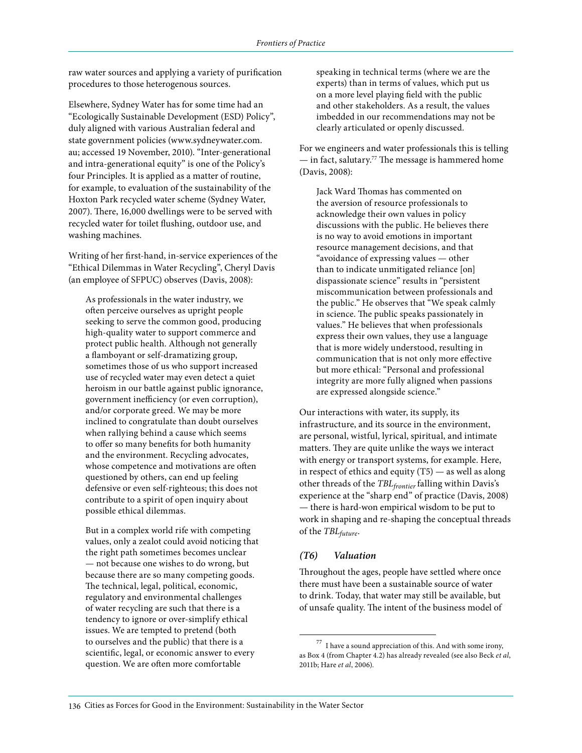raw water sources and applying a variety of purification procedures to those heterogenous sources.

Elsewhere, Sydney Water has for some time had an "Ecologically Sustainable Development (ESD) Policy", duly aligned with various Australian federal and state government policies (www.sydneywater.com. au; accessed 19 November, 2010). "Inter-generational and intra-generational equity" is one of the Policy's four Principles. It is applied as a matter of routine, for example, to evaluation of the sustainability of the Hoxton Park recycled water scheme (Sydney Water, 2007). There, 16,000 dwellings were to be served with recycled water for toilet flushing, outdoor use, and washing machines.

Writing of her first-hand, in-service experiences of the "Ethical Dilemmas in Water Recycling", Cheryl Davis (an employee of SFPUC) observes (Davis, 2008):

As professionals in the water industry, we often perceive ourselves as upright people seeking to serve the common good, producing high-quality water to support commerce and protect public health. Although not generally a flamboyant or self-dramatizing group, sometimes those of us who support increased use of recycled water may even detect a quiet heroism in our battle against public ignorance, government inefficiency (or even corruption), and/or corporate greed. We may be more inclined to congratulate than doubt ourselves when rallying behind a cause which seems to offer so many benefits for both humanity and the environment. Recycling advocates, whose competence and motivations are often questioned by others, can end up feeling defensive or even self-righteous; this does not contribute to a spirit of open inquiry about possible ethical dilemmas.

But in a complex world rife with competing values, only a zealot could avoid noticing that the right path sometimes becomes unclear — not because one wishes to do wrong, but because there are so many competing goods. The technical, legal, political, economic, regulatory and environmental challenges of water recycling are such that there is a tendency to ignore or over-simplify ethical issues. We are tempted to pretend (both to ourselves and the public) that there is a scientific, legal, or economic answer to every question. We are often more comfortable

speaking in technical terms (where we are the experts) than in terms of values, which put us on a more level playing field with the public and other stakeholders. As a result, the values imbedded in our recommendations may not be clearly articulated or openly discussed.

For we engineers and water professionals this is telling — in fact, salutary.77 The message is hammered home (Davis, 2008):

Jack Ward Thomas has commented on the aversion of resource professionals to acknowledge their own values in policy discussions with the public. He believes there is no way to avoid emotions in important resource management decisions, and that "avoidance of expressing values — other than to indicate unmitigated reliance [on] dispassionate science" results in "persistent miscommunication between professionals and the public." He observes that "We speak calmly in science. The public speaks passionately in values." He believes that when professionals express their own values, they use a language that is more widely understood, resulting in communication that is not only more effective but more ethical: "Personal and professional integrity are more fully aligned when passions are expressed alongside science."

Our interactions with water, its supply, its infrastructure, and its source in the environment, are personal, wistful, lyrical, spiritual, and intimate matters. They are quite unlike the ways we interact with energy or transport systems, for example. Here, in respect of ethics and equity  $(T5)$  — as well as along other threads of the *TBLfrontier* falling within Davis's experience at the "sharp end" of practice (Davis, 2008) — there is hard-won empirical wisdom to be put to work in shaping and re-shaping the conceptual threads of the *TBLfuture*.

#### *(T6) Valuation*

Throughout the ages, people have settled where once there must have been a sustainable source of water to drink. Today, that water may still be available, but of unsafe quality. The intent of the business model of

 $77$  I have a sound appreciation of this. And with some irony, as Box 4 (from Chapter 4.2) has already revealed (see also Beck *et al*, 2011b; Hare *et al*, 2006).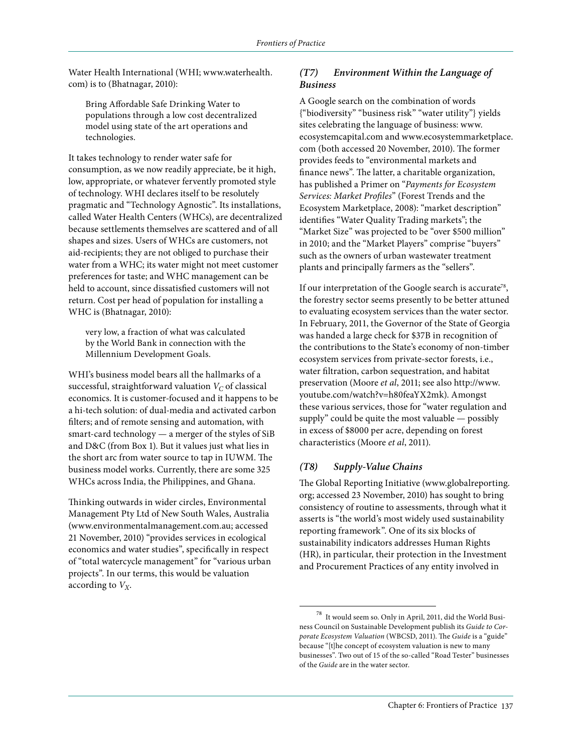Water Health International (WHI; www.waterhealth. com) is to (Bhatnagar, 2010):

Bring Affordable Safe Drinking Water to populations through a low cost decentralized model using state of the art operations and technologies.

It takes technology to render water safe for consumption, as we now readily appreciate, be it high, low, appropriate, or whatever fervently promoted style of technology. WHI declares itself to be resolutely pragmatic and "Technology Agnostic". Its installations, called Water Health Centers (WHCs), are decentralized because settlements themselves are scattered and of all shapes and sizes. Users of WHCs are customers, not aid-recipients; they are not obliged to purchase their water from a WHC; its water might not meet customer preferences for taste; and WHC management can be held to account, since dissatisfied customers will not return. Cost per head of population for installing a WHC is (Bhatnagar, 2010):

very low, a fraction of what was calculated by the World Bank in connection with the Millennium Development Goals.

WHI's business model bears all the hallmarks of a successful, straightforward valuation *V<sub>C</sub>* of classical economics. It is customer-focused and it happens to be a hi-tech solution: of dual-media and activated carbon filters; and of remote sensing and automation, with smart-card technology — a merger of the styles of SiB and D&C (from Box 1). But it values just what lies in the short arc from water source to tap in IUWM. The business model works. Currently, there are some 325 WHCs across India, the Philippines, and Ghana.

Thinking outwards in wider circles, Environmental Management Pty Ltd of New South Wales, Australia (www.environmentalmanagement.com.au; accessed 21 November, 2010) "provides services in ecological economics and water studies", specifically in respect of "total watercycle management" for "various urban projects". In our terms, this would be valuation according to  $V_X$ .

#### *(T7) Environment Within the Language of Business*

A Google search on the combination of words {"biodiversity" "business risk" "water utility"} yields sites celebrating the language of business: www. ecosystemcapital.com and www.ecosystemmarketplace. com (both accessed 20 November, 2010). The former provides feeds to "environmental markets and finance news". The latter, a charitable organization, has published a Primer on "*Payments for Ecosystem Services: Market Profiles*" (Forest Trends and the Ecosystem Marketplace, 2008): "market description" identifies "Water Quality Trading markets"; the "Market Size" was projected to be "over \$500 million" in 2010; and the "Market Players" comprise "buyers" such as the owners of urban wastewater treatment plants and principally farmers as the "sellers".

If our interpretation of the Google search is accurate<sup>78</sup>, the forestry sector seems presently to be better attuned to evaluating ecosystem services than the water sector. In February, 2011, the Governor of the State of Georgia was handed a large check for \$37B in recognition of the contributions to the State's economy of non-timber ecosystem services from private-sector forests, i.e., water filtration, carbon sequestration, and habitat preservation (Moore *et al*, 2011; see also http://www. youtube.com/watch?v=h80feaYX2mk). Amongst these various services, those for "water regulation and supply" could be quite the most valuable — possibly in excess of \$8000 per acre, depending on forest characteristics (Moore *et al*, 2011).

## *(T8) Supply-Value Chains*

The Global Reporting Initiative (www.globalreporting. org; accessed 23 November, 2010) has sought to bring consistency of routine to assessments, through what it asserts is "the world's most widely used sustainability reporting framework". One of its six blocks of sustainability indicators addresses Human Rights (HR), in particular, their protection in the Investment and Procurement Practices of any entity involved in

 $^{\rm 78}$  It would seem so. Only in April, 2011, did the World Business Council on Sustainable Development publish its *Guide to Corporate Ecosystem Valuation* (WBCSD, 2011). The *Guide* is a "guide" because "[t]he concept of ecosystem valuation is new to many businesses". Two out of 15 of the so-called "Road Tester" businesses of the *Guide* are in the water sector.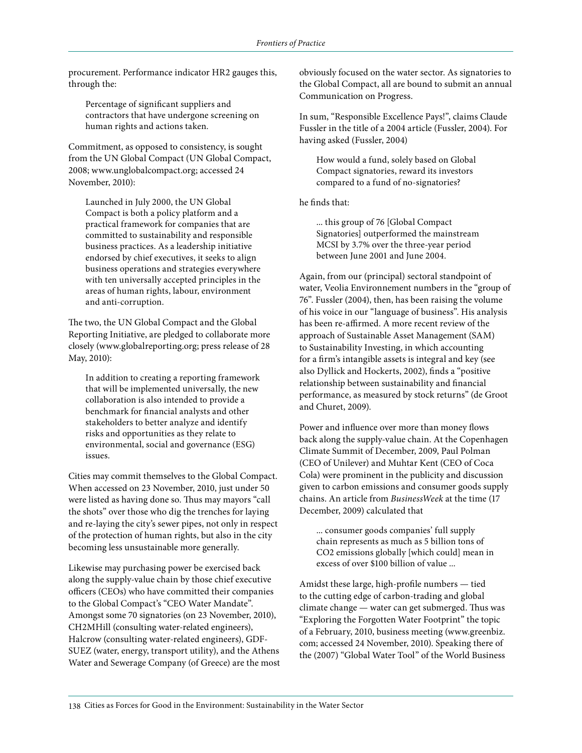procurement. Performance indicator HR2 gauges this, through the:

Percentage of significant suppliers and contractors that have undergone screening on human rights and actions taken.

Commitment, as opposed to consistency, is sought from the UN Global Compact (UN Global Compact, 2008; www.unglobalcompact.org; accessed 24 November, 2010):

Launched in July 2000, the UN Global Compact is both a policy platform and a practical framework for companies that are committed to sustainability and responsible business practices. As a leadership initiative endorsed by chief executives, it seeks to align business operations and strategies everywhere with ten universally accepted principles in the areas of human rights, labour, environment and anti-corruption.

The two, the UN Global Compact and the Global Reporting Initiative, are pledged to collaborate more closely (www.globalreporting.org; press release of 28 May, 2010):

In addition to creating a reporting framework that will be implemented universally, the new collaboration is also intended to provide a benchmark for financial analysts and other stakeholders to better analyze and identify risks and opportunities as they relate to environmental, social and governance (ESG) issues.

Cities may commit themselves to the Global Compact. When accessed on 23 November, 2010, just under 50 were listed as having done so. Thus may mayors "call the shots" over those who dig the trenches for laying and re-laying the city's sewer pipes, not only in respect of the protection of human rights, but also in the city becoming less unsustainable more generally.

Likewise may purchasing power be exercised back along the supply-value chain by those chief executive officers (CEOs) who have committed their companies to the Global Compact's "CEO Water Mandate". Amongst some 70 signatories (on 23 November, 2010), CH2MHill (consulting water-related engineers), Halcrow (consulting water-related engineers), GDF-SUEZ (water, energy, transport utility), and the Athens Water and Sewerage Company (of Greece) are the most obviously focused on the water sector. As signatories to the Global Compact, all are bound to submit an annual Communication on Progress.

In sum, "Responsible Excellence Pays!", claims Claude Fussler in the title of a 2004 article (Fussler, 2004). For having asked (Fussler, 2004)

How would a fund, solely based on Global Compact signatories, reward its investors compared to a fund of no-signatories?

he finds that:

... this group of 76 [Global Compact Signatories] outperformed the mainstream MCSI by 3.7% over the three-year period between June 2001 and June 2004.

Again, from our (principal) sectoral standpoint of water, Veolia Environnement numbers in the "group of 76". Fussler (2004), then, has been raising the volume of his voice in our "language of business". His analysis has been re-affirmed. A more recent review of the approach of Sustainable Asset Management (SAM) to Sustainability Investing, in which accounting for a firm's intangible assets is integral and key (see also Dyllick and Hockerts, 2002), finds a "positive relationship between sustainability and financial performance, as measured by stock returns" (de Groot and Churet, 2009).

Power and influence over more than money flows back along the supply-value chain. At the Copenhagen Climate Summit of December, 2009, Paul Polman (CEO of Unilever) and Muhtar Kent (CEO of Coca Cola) were prominent in the publicity and discussion given to carbon emissions and consumer goods supply chains. An article from *BusinessWeek* at the time (17 December, 2009) calculated that

... consumer goods companies' full supply chain represents as much as 5 billion tons of CO2 emissions globally [which could] mean in excess of over \$100 billion of value ...

Amidst these large, high-profile numbers — tied to the cutting edge of carbon-trading and global climate change — water can get submerged. Thus was "Exploring the Forgotten Water Footprint" the topic of a February, 2010, business meeting (www.greenbiz. com; accessed 24 November, 2010). Speaking there of the (2007) "Global Water Tool" of the World Business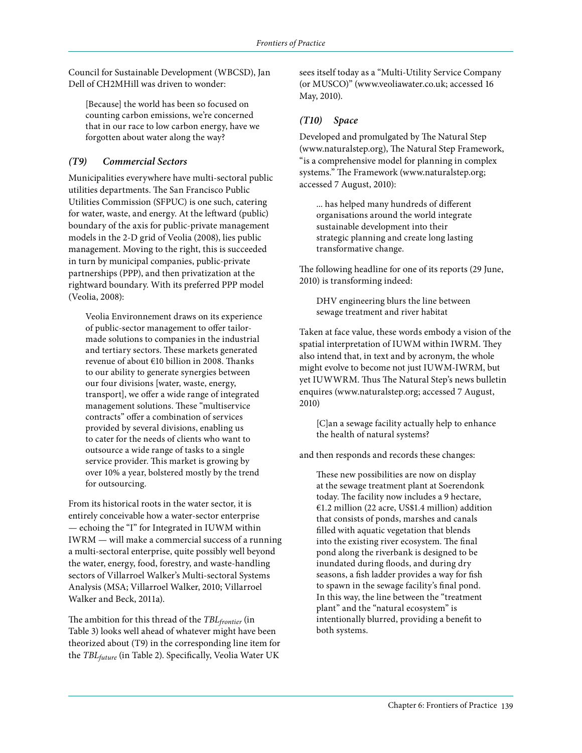Council for Sustainable Development (WBCSD), Jan Dell of CH2MHill was driven to wonder:

[Because] the world has been so focused on counting carbon emissions, we're concerned that in our race to low carbon energy, have we forgotten about water along the way?

#### *(T9) Commercial Sectors*

Municipalities everywhere have multi-sectoral public utilities departments. The San Francisco Public Utilities Commission (SFPUC) is one such, catering for water, waste, and energy. At the leftward (public) boundary of the axis for public-private management models in the 2-D grid of Veolia (2008), lies public management. Moving to the right, this is succeeded in turn by municipal companies, public-private partnerships (PPP), and then privatization at the rightward boundary. With its preferred PPP model (Veolia, 2008):

Veolia Environnement draws on its experience of public-sector management to offer tailormade solutions to companies in the industrial and tertiary sectors. These markets generated revenue of about €10 billion in 2008. Thanks to our ability to generate synergies between our four divisions [water, waste, energy, transport], we offer a wide range of integrated management solutions. These "multiservice contracts" offer a combination of services provided by several divisions, enabling us to cater for the needs of clients who want to outsource a wide range of tasks to a single service provider. This market is growing by over 10% a year, bolstered mostly by the trend for outsourcing.

From its historical roots in the water sector, it is entirely conceivable how a water-sector enterprise — echoing the "I" for Integrated in IUWM within IWRM — will make a commercial success of a running a multi-sectoral enterprise, quite possibly well beyond the water, energy, food, forestry, and waste-handling sectors of Villarroel Walker's Multi-sectoral Systems Analysis (MSA; Villarroel Walker, 2010; Villarroel Walker and Beck, 2011a).

The ambition for this thread of the *TBL<sub>frontier</sub>* (in Table 3) looks well ahead of whatever might have been theorized about (T9) in the corresponding line item for the *TBLfuture* (in Table 2). Specifically, Veolia Water UK

sees itself today as a "Multi-Utility Service Company (or MUSCO)" (www.veoliawater.co.uk; accessed 16 May, 2010).

#### *(T10) Space*

Developed and promulgated by The Natural Step (www.naturalstep.org), The Natural Step Framework, "is a comprehensive model for planning in complex systems." The Framework (www.naturalstep.org; accessed 7 August, 2010):

... has helped many hundreds of different organisations around the world integrate sustainable development into their strategic planning and create long lasting transformative change.

The following headline for one of its reports (29 June, 2010) is transforming indeed:

DHV engineering blurs the line between sewage treatment and river habitat

Taken at face value, these words embody a vision of the spatial interpretation of IUWM within IWRM. They also intend that, in text and by acronym, the whole might evolve to become not just IUWM-IWRM, but yet IUWWRM. Thus The Natural Step's news bulletin enquires (www.naturalstep.org; accessed 7 August, 2010)

[C]an a sewage facility actually help to enhance the health of natural systems?

and then responds and records these changes:

These new possibilities are now on display at the sewage treatment plant at Soerendonk today. The facility now includes a 9 hectare, €1.2 million (22 acre, US\$1.4 million) addition that consists of ponds, marshes and canals filled with aquatic vegetation that blends into the existing river ecosystem. The final pond along the riverbank is designed to be inundated during floods, and during dry seasons, a fish ladder provides a way for fish to spawn in the sewage facility's final pond. In this way, the line between the "treatment plant" and the "natural ecosystem" is intentionally blurred, providing a benefit to both systems.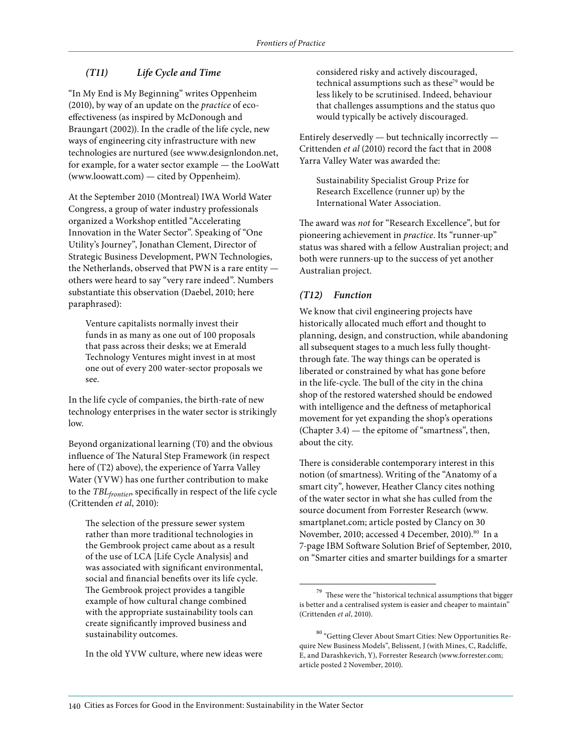# *(T11) Life Cycle and Time*

"In My End is My Beginning" writes Oppenheim (2010), by way of an update on the *practice* of ecoeffectiveness (as inspired by McDonough and Braungart (2002)). In the cradle of the life cycle, new ways of engineering city infrastructure with new technologies are nurtured (see www.designlondon.net, for example, for a water sector example — the LooWatt (www.loowatt.com) — cited by Oppenheim).

At the September 2010 (Montreal) IWA World Water Congress, a group of water industry professionals organized a Workshop entitled "Accelerating Innovation in the Water Sector". Speaking of "One Utility's Journey", Jonathan Clement, Director of Strategic Business Development, PWN Technologies, the Netherlands, observed that PWN is a rare entity others were heard to say "very rare indeed". Numbers substantiate this observation (Daebel, 2010; here paraphrased):

Venture capitalists normally invest their funds in as many as one out of 100 proposals that pass across their desks; we at Emerald Technology Ventures might invest in at most one out of every 200 water-sector proposals we see.

In the life cycle of companies, the birth-rate of new technology enterprises in the water sector is strikingly low.

Beyond organizational learning (T0) and the obvious influence of The Natural Step Framework (in respect here of (T2) above), the experience of Yarra Valley Water (YVW) has one further contribution to make to the *TBLfrontier*, specifically in respect of the life cycle (Crittenden *et al*, 2010):

The selection of the pressure sewer system rather than more traditional technologies in the Gembrook project came about as a result of the use of LCA [Life Cycle Analysis] and was associated with significant environmental, social and financial benefits over its life cycle. The Gembrook project provides a tangible example of how cultural change combined with the appropriate sustainability tools can create significantly improved business and sustainability outcomes.

In the old YVW culture, where new ideas were

considered risky and actively discouraged, technical assumptions such as these<sup>79</sup> would be less likely to be scrutinised. Indeed, behaviour that challenges assumptions and the status quo would typically be actively discouraged.

Entirely deservedly — but technically incorrectly — Crittenden *et al* (2010) record the fact that in 2008 Yarra Valley Water was awarded the:

Sustainability Specialist Group Prize for Research Excellence (runner up) by the International Water Association.

The award was *not* for "Research Excellence", but for pioneering achievement in *practice*. Its "runner-up" status was shared with a fellow Australian project; and both were runners-up to the success of yet another Australian project.

## *(T12) Function*

We know that civil engineering projects have historically allocated much effort and thought to planning, design, and construction, while abandoning all subsequent stages to a much less fully thoughtthrough fate. The way things can be operated is liberated or constrained by what has gone before in the life-cycle. The bull of the city in the china shop of the restored watershed should be endowed with intelligence and the deftness of metaphorical movement for yet expanding the shop's operations (Chapter 3.4) — the epitome of "smartness", then, about the city.

There is considerable contemporary interest in this notion (of smartness). Writing of the "Anatomy of a smart city", however, Heather Clancy cites nothing of the water sector in what she has culled from the source document from Forrester Research (www. smartplanet.com; article posted by Clancy on 30 November, 2010; accessed 4 December, 2010).<sup>80</sup> In a 7-page IBM Software Solution Brief of September, 2010, on "Smarter cities and smarter buildings for a smarter

 $^{79}\,$  These were the "historical technical assumptions that bigger is better and a centralised system is easier and cheaper to maintain" (Crittenden *et al*, 2010).

 $^{\rm 80}$  "Getting Clever About Smart Cities: New Opportunities Require New Business Models", Belissent, J (with Mines, C, Radcliffe, E, and Darashkevich, Y), Forrester Research (www.forrester.com; article posted 2 November, 2010).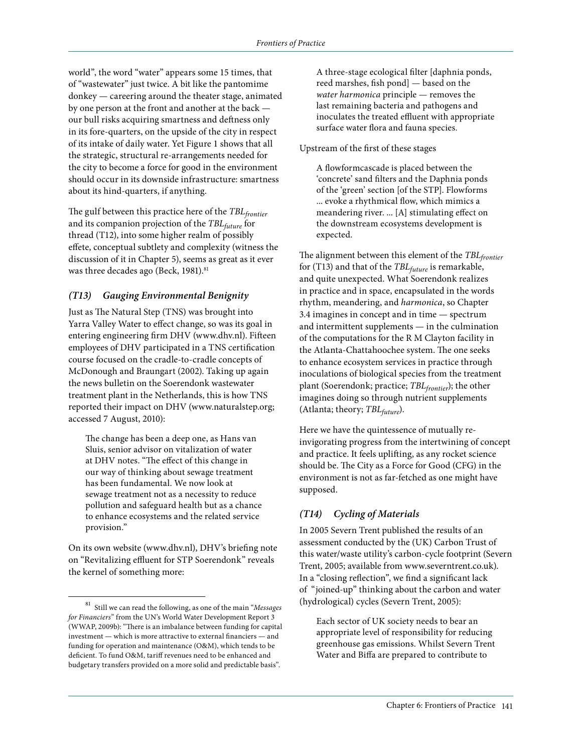world", the word "water" appears some 15 times, that of "wastewater" just twice. A bit like the pantomime donkey — careering around the theater stage, animated by one person at the front and another at the back our bull risks acquiring smartness and deftness only in its fore-quarters, on the upside of the city in respect of its intake of daily water. Yet Figure 1 shows that all the strategic, structural re-arrangements needed for the city to become a force for good in the environment should occur in its downside infrastructure: smartness about its hind-quarters, if anything.

The gulf between this practice here of the *TBL*frontier and its companion projection of the *TBLfuture* for thread (T12), into some higher realm of possibly effete, conceptual subtlety and complexity (witness the discussion of it in Chapter 5), seems as great as it ever was three decades ago (Beck, 1981).<sup>81</sup>

#### *(T13) Gauging Environmental Benignity*

Just as The Natural Step (TNS) was brought into Yarra Valley Water to effect change, so was its goal in entering engineering firm DHV (www.dhv.nl). Fifteen employees of DHV participated in a TNS certification course focused on the cradle-to-cradle concepts of McDonough and Braungart (2002). Taking up again the news bulletin on the Soerendonk wastewater treatment plant in the Netherlands, this is how TNS reported their impact on DHV (www.naturalstep.org; accessed 7 August, 2010):

The change has been a deep one, as Hans van Sluis, senior advisor on vitalization of water at DHV notes. "The effect of this change in our way of thinking about sewage treatment has been fundamental. We now look at sewage treatment not as a necessity to reduce pollution and safeguard health but as a chance to enhance ecosystems and the related service provision."

On its own website (www.dhv.nl), DHV's briefing note on "Revitalizing effluent for STP Soerendonk" reveals the kernel of something more:

A three-stage ecological filter [daphnia ponds, reed marshes, fish pond] — based on the *water harmonica* principle — removes the last remaining bacteria and pathogens and inoculates the treated effluent with appropriate surface water flora and fauna species.

Upstream of the first of these stages

A flowformcascade is placed between the 'concrete' sand filters and the Daphnia ponds of the 'green' section [of the STP]. Flowforms ... evoke a rhythmical flow, which mimics a meandering river. ... [A] stimulating effect on the downstream ecosystems development is expected.

The alignment between this element of the *TBLfrontier* for (T13) and that of the *TBLfuture* is remarkable, and quite unexpected. What Soerendonk realizes in practice and in space, encapsulated in the words rhythm, meandering, and *harmonica*, so Chapter 3.4 imagines in concept and in time — spectrum and intermittent supplements — in the culmination of the computations for the R M Clayton facility in the Atlanta-Chattahoochee system. The one seeks to enhance ecosystem services in practice through inoculations of biological species from the treatment plant (Soerendonk; practice; *TBLfrontier*); the other imagines doing so through nutrient supplements (Atlanta; theory; *TBLfuture*).

Here we have the quintessence of mutually reinvigorating progress from the intertwining of concept and practice. It feels uplifting, as any rocket science should be. The City as a Force for Good (CFG) in the environment is not as far-fetched as one might have supposed.

## *(T14) Cycling of Materials*

In 2005 Severn Trent published the results of an assessment conducted by the (UK) Carbon Trust of this water/waste utility's carbon-cycle footprint (Severn Trent, 2005; available from www.severntrent.co.uk). In a "closing reflection", we find a significant lack of "joined-up" thinking about the carbon and water (hydrological) cycles (Severn Trent, 2005):

Each sector of UK society needs to bear an appropriate level of responsibility for reducing greenhouse gas emissions. Whilst Severn Trent Water and Biffa are prepared to contribute to

<sup>81</sup> Still we can read the following, as one of the main "*Messages for Financiers*" from the UN's World Water Development Report 3 (WWAP, 2009b): "There is an imbalance between funding for capital  $\;$  investment — which is more attractive to external financiers — and funding for operation and maintenance (O&M), which tends to be deficient. To fund O&M, tariff revenues need to be enhanced and budgetary transfers provided on a more solid and predictable basis".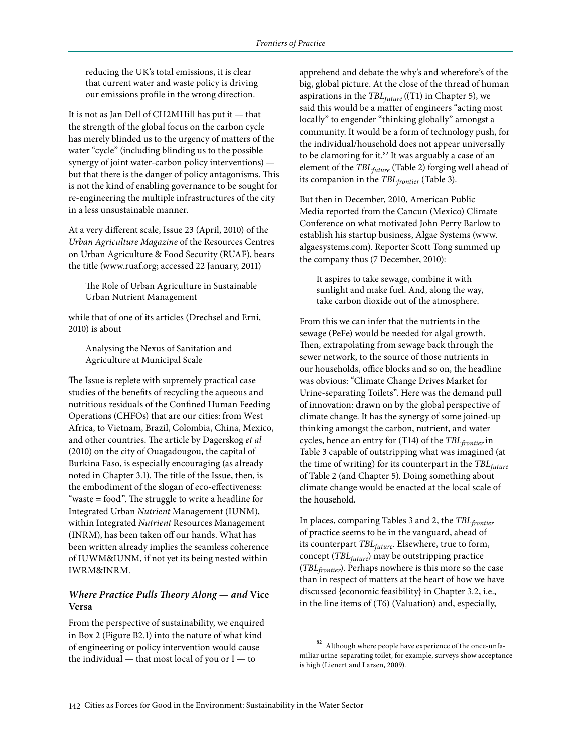reducing the UK's total emissions, it is clear that current water and waste policy is driving our emissions profile in the wrong direction.

It is not as Jan Dell of CH2MHill has put it — that the strength of the global focus on the carbon cycle has merely blinded us to the urgency of matters of the water "cycle" (including blinding us to the possible synergy of joint water-carbon policy interventions) but that there is the danger of policy antagonisms. This is not the kind of enabling governance to be sought for re-engineering the multiple infrastructures of the city in a less unsustainable manner.

At a very different scale, Issue 23 (April, 2010) of the *Urban Agriculture Magazine* of the Resources Centres on Urban Agriculture & Food Security (RUAF), bears the title (www.ruaf.org; accessed 22 January, 2011)

The Role of Urban Agriculture in Sustainable Urban Nutrient Management

while that of one of its articles (Drechsel and Erni, 2010) is about

Analysing the Nexus of Sanitation and Agriculture at Municipal Scale

The Issue is replete with supremely practical case studies of the benefits of recycling the aqueous and nutritious residuals of the Confined Human Feeding Operations (CHFOs) that are our cities: from West Africa, to Vietnam, Brazil, Colombia, China, Mexico, and other countries. The article by Dagerskog *et al* (2010) on the city of Ouagadougou, the capital of Burkina Faso, is especially encouraging (as already noted in Chapter 3.1). The title of the Issue, then, is the embodiment of the slogan of eco-effectiveness: "waste = food". The struggle to write a headline for Integrated Urban *Nutrient* Management (IUNM), within Integrated *Nutrient* Resources Management (INRM), has been taken off our hands. What has been written already implies the seamless coherence of IUWM&IUNM, if not yet its being nested within IWRM&INRM.

## *Where Practice Pulls Theory Along — and* **Vice Versa**

From the perspective of sustainability, we enquired in Box 2 (Figure B2.1) into the nature of what kind of engineering or policy intervention would cause the individual — that most local of you or I — to

apprehend and debate the why's and wherefore's of the big, global picture. At the close of the thread of human aspirations in the *TBL*<sub>future</sub> ((T1) in Chapter 5), we said this would be a matter of engineers "acting most locally" to engender "thinking globally" amongst a community. It would be a form of technology push, for the individual/household does not appear universally to be clamoring for it.<sup>82</sup> It was arguably a case of an element of the *TBLfuture* (Table 2) forging well ahead of its companion in the *TBLfrontier* (Table 3).

But then in December, 2010, American Public Media reported from the Cancun (Mexico) Climate Conference on what motivated John Perry Barlow to establish his startup business, Algae Systems (www. algaesystems.com). Reporter Scott Tong summed up the company thus (7 December, 2010):

It aspires to take sewage, combine it with sunlight and make fuel. And, along the way, take carbon dioxide out of the atmosphere.

From this we can infer that the nutrients in the sewage (PeFe) would be needed for algal growth. Then, extrapolating from sewage back through the sewer network, to the source of those nutrients in our households, office blocks and so on, the headline was obvious: "Climate Change Drives Market for Urine-separating Toilets". Here was the demand pull of innovation: drawn on by the global perspective of climate change. It has the synergy of some joined-up thinking amongst the carbon, nutrient, and water cycles, hence an entry for (T14) of the *TBLfrontier* in Table 3 capable of outstripping what was imagined (at the time of writing) for its counterpart in the *TBL*<sub>future</sub> of Table 2 (and Chapter 5). Doing something about climate change would be enacted at the local scale of the household.

In places, comparing Tables 3 and 2, the *TBLfrontier* of practice seems to be in the vanguard, ahead of its counterpart *TBLfuture*. Elsewhere, true to form, concept (*TBLfuture*) may be outstripping practice (*TBLfrontier*). Perhaps nowhere is this more so the case than in respect of matters at the heart of how we have discussed {economic feasibility} in Chapter 3.2, i.e., in the line items of (T6) (Valuation) and, especially,

<sup>82</sup> Although where people have experience of the once-unfamiliar urine-separating toilet, for example, surveys show acceptance is high (Lienert and Larsen, 2009).